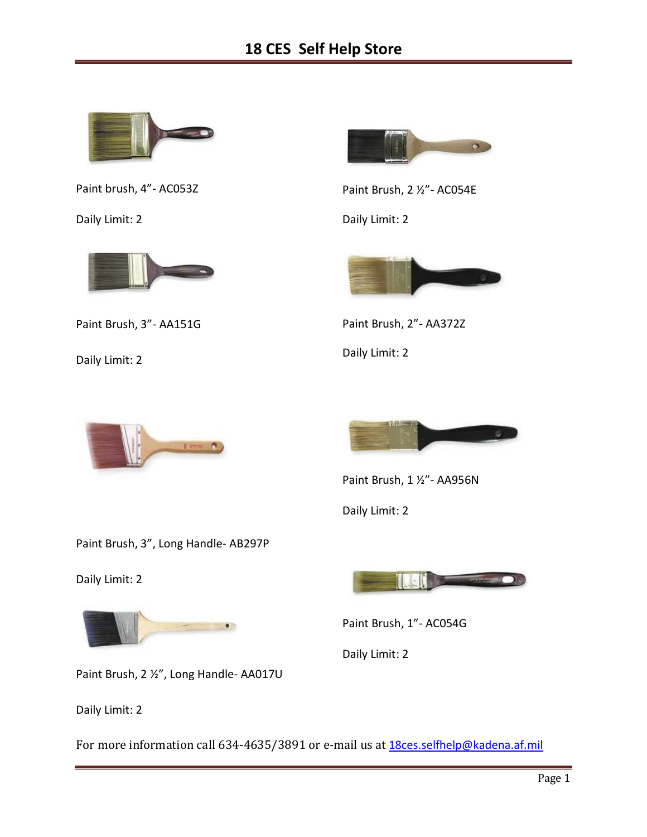

Paint brush, 4"- AC053Z

Daily Limit: 2



Paint Brush, 3"- AA151G

Daily Limit: 2



Paint Brush, 2 ½"- AC054E

Daily Limit: 2



Paint Brush, 2"- AA372Z Daily Limit: 2





Paint Brush, 1 ½"- AA956N

Daily Limit: 2

Paint Brush, 3", Long Handle- AB297P

Daily Limit: 2



Paint Brush, 2 ½", Long Handle- AA017U

Daily Limit: 2

For more information call 634-4635/3891 or e-mail us at 18ces.selfhelp@kadena.af.mil



Paint Brush, 1"- AC054G

Daily Limit: 2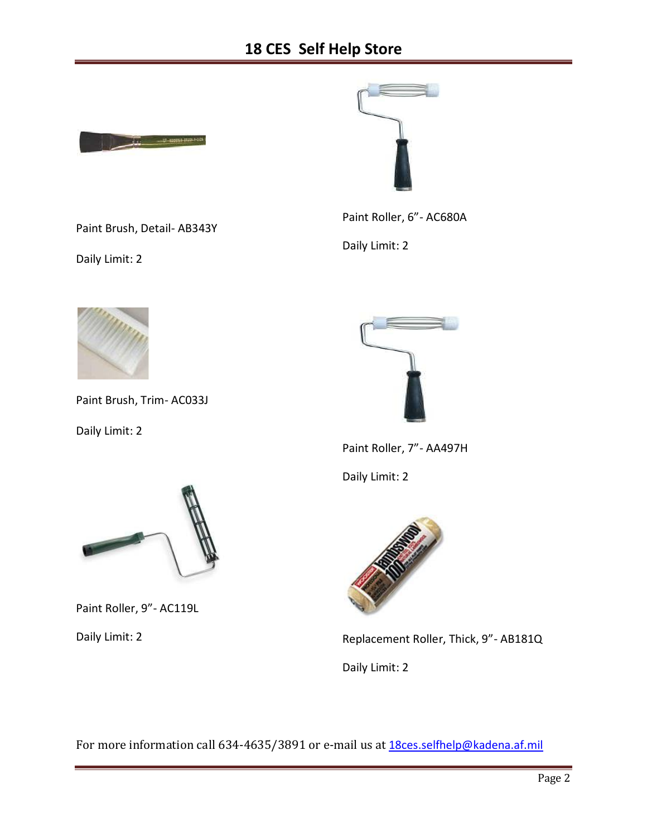

Paint Brush, Detail- AB343Y



Paint Roller, 6"- AC680A

Daily Limit: 2



Daily Limit: 2

Paint Brush, Trim- AC033J

Daily Limit: 2



Paint Roller, 7"- AA497H

Daily Limit: 2



Replacement Roller, Thick, 9"- AB181Q

Daily Limit: 2

For more information call 634-4635/3891 or e-mail us at 18ces.selfhelp@kadena.af.mil



Paint Roller, 9"- AC119L

Daily Limit: 2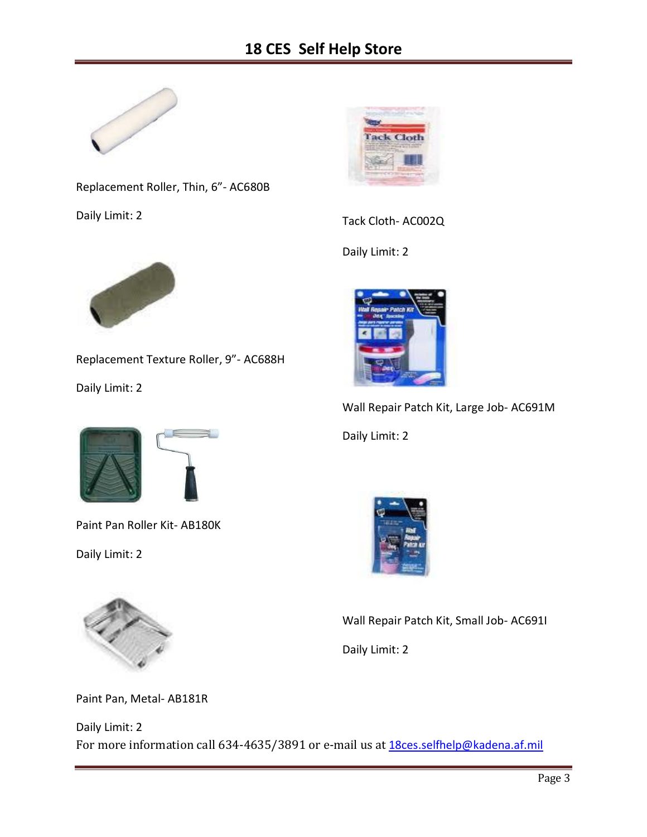

Replacement Roller, Thin, 6"- AC680B

Daily Limit: 2



Tack Cloth- AC002Q

Daily Limit: 2



Replacement Texture Roller, 9"- AC688H

Daily Limit: 2



Paint Pan Roller Kit- AB180K

Daily Limit: 2



Paint Pan, Metal- AB181R

For more information call 634-4635/3891 or e-mail us at 18ces.selfhelp@kadena.af.mil Daily Limit: 2



Wall Repair Patch Kit, Large Job- AC691M Daily Limit: 2



Wall Repair Patch Kit, Small Job- AC691I

Daily Limit: 2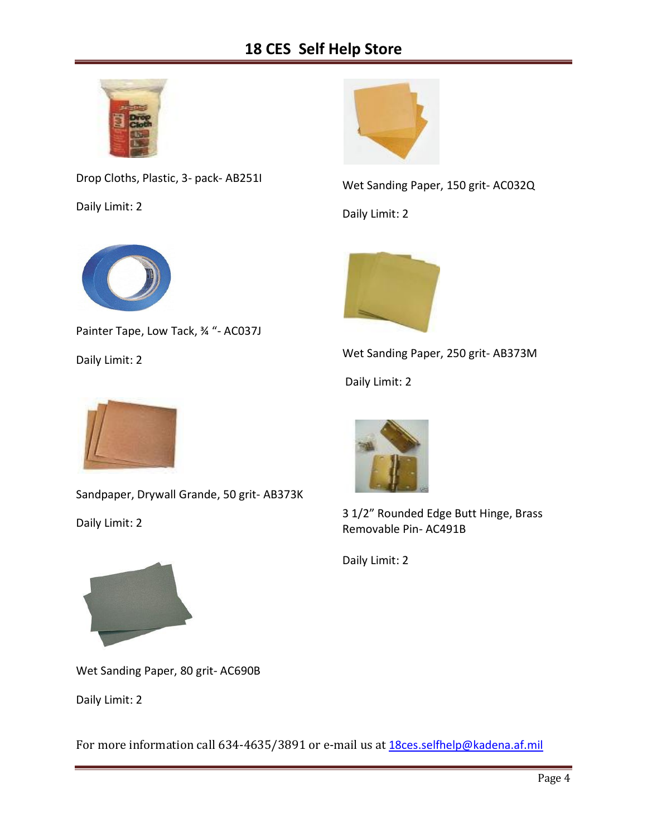## **18 CES Self Help Store**



Drop Cloths, Plastic, 3- pack- AB251I

Daily Limit: 2



Wet Sanding Paper, 150 grit- AC032Q

Daily Limit: 2



Painter Tape, Low Tack, 34 "- AC037J

Daily Limit: 2



Wet Sanding Paper, 250 grit- AB373M

Daily Limit: 2



Sandpaper, Drywall Grande, 50 grit- AB373K

Daily Limit: 2



3 1/2" Rounded Edge Butt Hinge, Brass Removable Pin- AC491B

Daily Limit: 2



Wet Sanding Paper, 80 grit- AC690B

Daily Limit: 2

For more information call 634-4635/3891 or e-mail us at 18ces.selfhelp@kadena.af.mil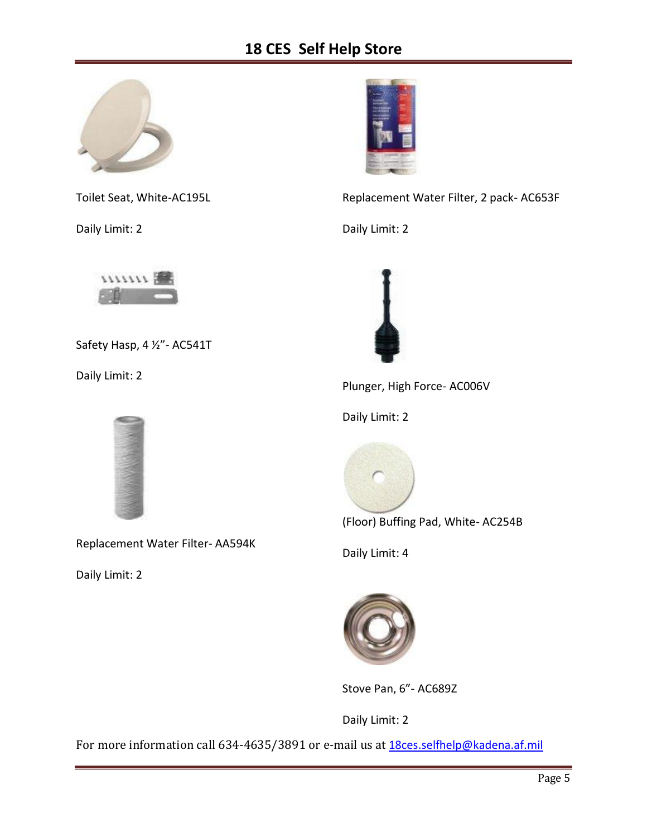## **18 CES Self Help Store**



Toilet Seat, White-AC195L

Daily Limit: 2



Replacement Water Filter, 2 pack- AC653F

Daily Limit: 2



Safety Hasp, 4 ½"- AC541T

Daily Limit: 2



Replacement Water Filter- AA594K

Daily Limit: 2



Plunger, High Force- AC006V

Daily Limit: 2



(Floor) Buffing Pad, White- AC254B

Daily Limit: 4



Stove Pan, 6"- AC689Z

Daily Limit: 2

For more information call 634-4635/3891 or e-mail us at 18ces.selfhelp@kadena.af.mil